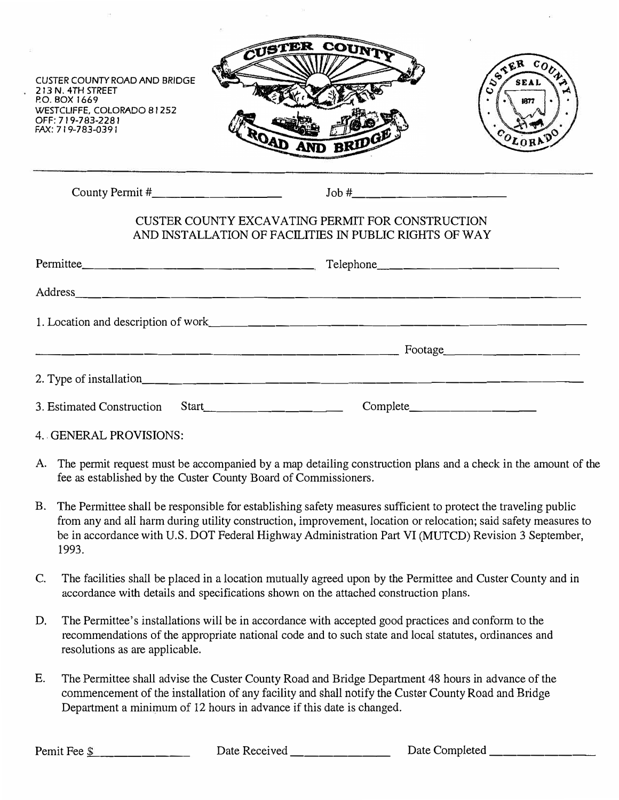





County Permit# \_\_\_\_\_\_\_\_ \_ Job#. \_\_\_\_\_\_\_\_\_ \_

## CUSTER COUNTY EXCAVATING PERMIT FOR CONSTRUCTION AND INSTALLATION OF FACILITIES IN PUBLIC RIGHTS OF WAY

|                                    | Footage $\qquad \qquad$                         |
|------------------------------------|-------------------------------------------------|
|                                    |                                                 |
| Start<br>3. Estimated Construction | $Complete$ $\qquad \qquad \qquad \qquad \qquad$ |

- 4. GENERAL PROVISIONS:
- A. The permit request must be accompanied by a map detailing construction plans and a check in the amount of the fee as established by the Custer County Board of Commissioners.
- B. The Permittee shall be responsible for establishing safety measures sufficient to protect the traveling public from any and all harm during utility construction, improvement, location or relocation; said safety measures to be in accordance with U.S. DOT Federal Highway Administration Part VI (MUTCD) Revision 3 September, 1993.
- C. The facilities shall be placed in a location mutually agreed upon by the Permittee and Custer County and in accordance with details and specifications shown on the attached construction plans.
- D. The Permittee's installations will be in accordance with accepted good practices and conform to the recommendations of the appropriate national code and to such state and local statutes, ordinances and resolutions as are applicable.
- E. The Permittee shall advise the Custer County Road and Bridge Department 48 hours in advance of the commencement of the installation of any facility and shall notify the Custer County Road and Bridge Department a minimum of 12 hours in advance if this date is changed.

Pemit Fee \$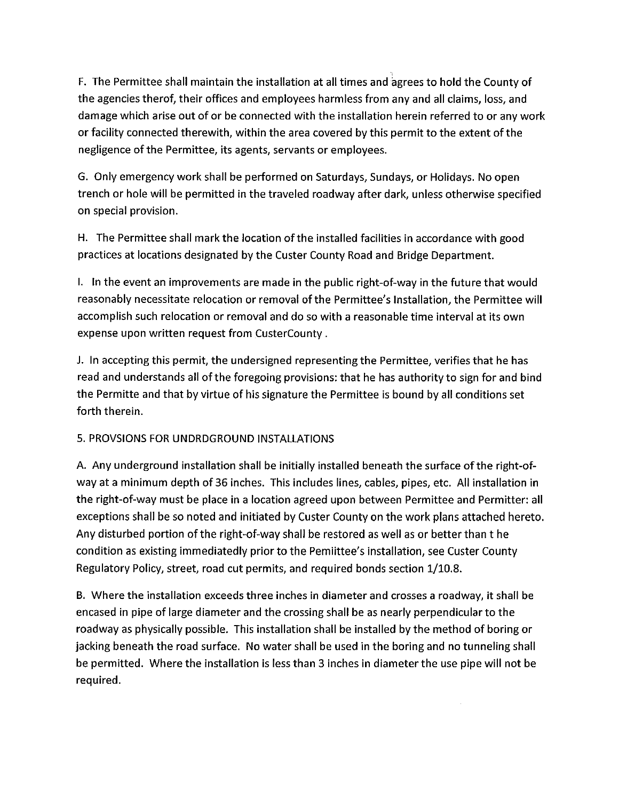F. The Permittee shall maintain the installation at all times and agrees to hold the County of the agencies therof, their offices and employees harmless from any and all claims, loss, and damage which arise out of or be connected with the installation herein referred to or any work or facility connected therewith, within the area covered by this permit to the extent of the negligence of the Permittee, its agents, servants or employees.

G. Only emergency work shall be performed on Saturdays, Sundays, or Holidays. No open trench or hole will be permitted in the traveled roadway after dark, unless otherwise specified on special provision.

H. The Permittee shall mark the location of the installed facilities in accordance with good practices at locations designated by the Custer County Road and Bridge Department.

1. In the event an improvements are made in the public right-of-way in the future that would reasonably necessitate relocation or removal of the Permittee's Installation, the Permittee will accomplish such relocation or removal and do so with a reasonable time interval at its own expense upon written request from CusterCounty.

J. In accepting this permit, the undersigned representing the Permittee, verifies that he has read and understands all of the foregoing provisions: that he has authority to sign for and bind the Permitte and that by virtue of his signature the Permittee is bound by all conditions set forth therein.

### 5. PROVSIONS FOR UNDRDGROUND INSTALLATIONS

A. Any underground installation shall be initially installed beneath the surface of the right-ofway at a minimum depth of 36 inches. This includes lines, cables, pipes, etc. All installation in the right-of-way must be place in a location agreed upon between Permittee and Permitter: all exceptions shall be so noted and initiated by Custer County on the work plans attached hereto. Any disturbed portion of the right-of-way shall be restored as well as or better than t he condition as existing immediatedly prior to the Pemiittee's installation, see Custer County Regulatory Policy, street, road cut permits, and required bonds section 1/10.8.

B. Where the installation exceeds three inches in diameter and crosses a roadway, it shall be encased in pipe of large diameter and the crossing shall be as nearly perpendicular to the roadway as physically possible. This installation shall be installed by the method of boring or jacking beneath the road surface. No water shall be used in the boring and no tunneling shall be permitted. Where the installation is less than 3 inches in diameter the use pipe will not be required.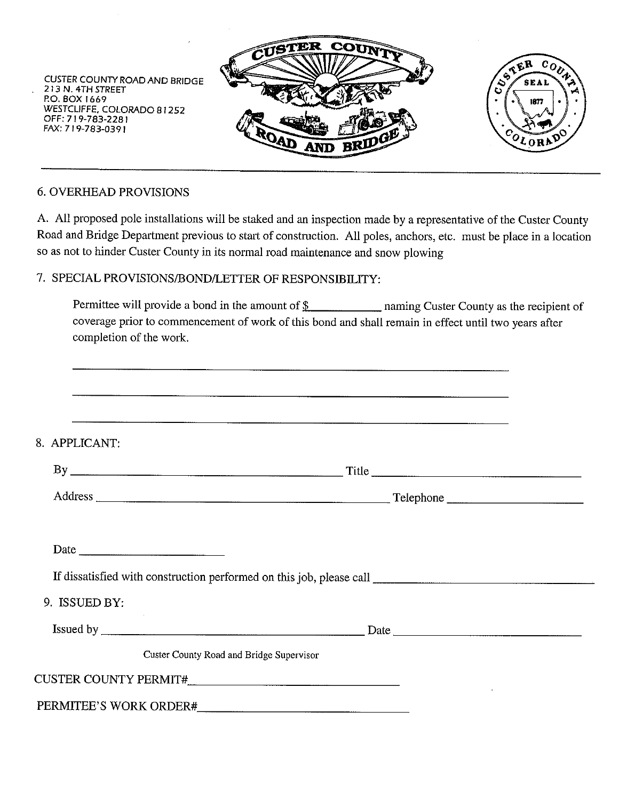

## **6. OVERHEAD PROVISIONS**

A. All proposed pole installations will be staked and an inspection made by a representative of the Custer County Road and Bridge Department previous to start of construction. All poles, anchors, etc. must be place in a location so as not to hinder Custer County in its normal road maintenance and snow plowing

#### 7. SPECIAL PROVISIONS/BOND/LETTER OF RESPONSIBILITY:

Permittee will provide a bond in the amount of  $\frac{1}{2}$  naming Custer County as the recipient of coverage prior to commencement of work of this bond and shall remain in effect until two years after completion of the work.

| 8. APPLICANT: |                                                 |  |
|---------------|-------------------------------------------------|--|
|               |                                                 |  |
|               |                                                 |  |
|               |                                                 |  |
|               |                                                 |  |
|               |                                                 |  |
| 9. ISSUED BY: |                                                 |  |
|               |                                                 |  |
|               | <b>Custer County Road and Bridge Supervisor</b> |  |
|               |                                                 |  |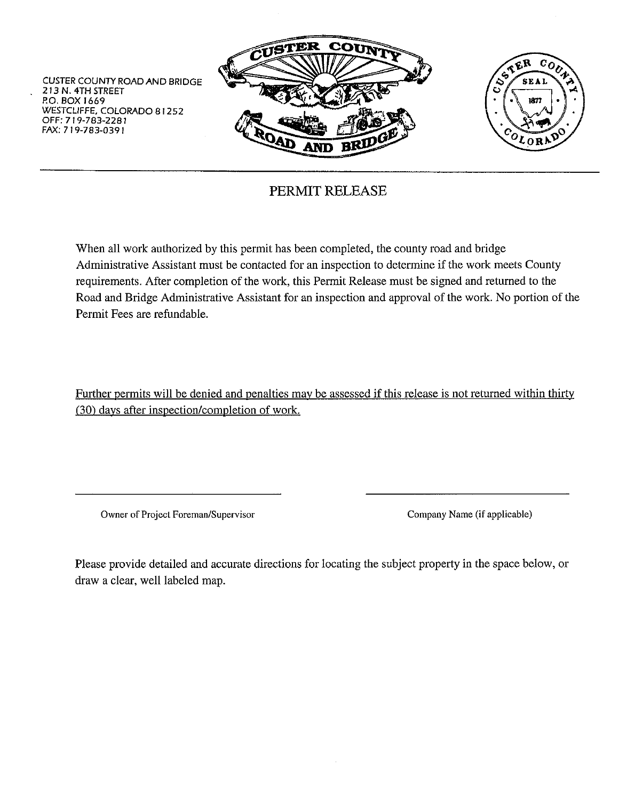

# PERMIT RELEASE

When all work authorized by this permit has been completed, the county road and bridge Administrative Assistant must be contacted for an inspection to determine if the work meets County requirements. After completion of the work, this Permit Release must be signed and returned to the Road and Bridge Administrative Assistant for an inspection and approval of the work. No portion of the Permit Fees are refundable.

Further permits will be denied and penalties may be assessed if this release is not returned within thirty (30) days after inspection/completion of work.

Owner of Project Foreman/Supervisor

Company Name (if applicable)

Please provide detailed and accurate directions for locating the subject property in the space below, or draw a clear, well labeled map.